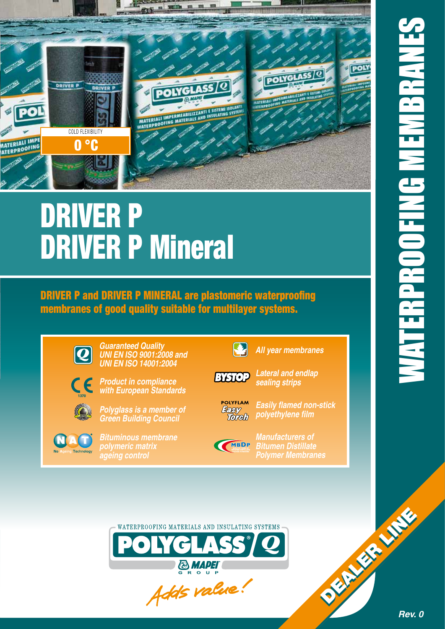*Rev. 0*

DEALER LINE



# DRIVER P DRIVER P Mineral

DRIVER P and DRIVER P MINERAL are plastomeric waterproofing membranes of good quality suitable for multilayer systems.



*Guaranteed Quality UNI EN ISO 9001:2008 and UNI EN ISO 14001:2004*





*Polyglass is a member of* 

*Green Building Council*



*Bituminous membrane polymeric matrix ageing control*



B

*Lateral and endlap sealing strips*

*All year membranes*



*Easily flamed non-stick polyethylene film*



*Bitumen Distillate Polymer Membranes*



*Manufacturers of*



**& MAPEI** GROUP

Adds value!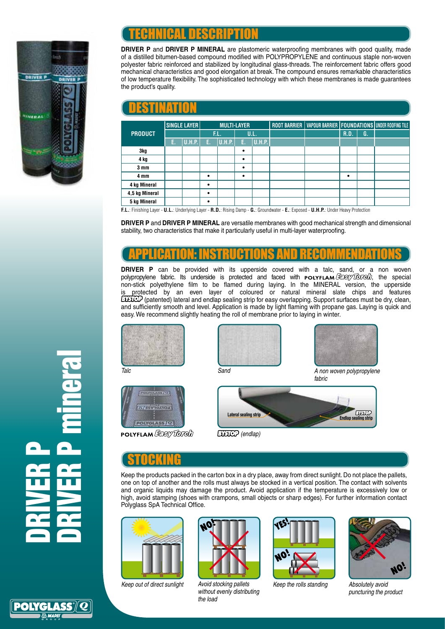

# TECHNICAL DESCRIPTION

**DRIVER P** and DRIVER P MINERAL are plastomeric waterproofing membranes with good quality, made of a distilled bitumen-based compound modified with POLYPROPYLENE and continuous staple non-woven polyester fabric reinforced and stabilized by longitudinal glass-threads. The reinforcement fabric offers good mechanical characteristics and good elongation at break. The compound ensures remarkable characteristics of low temperature flexibility. The sophisticated technology with which these membranes is made guarantees the product's quality.

| DISTINATOR                                                                                                                          |              |        |                    |               |           |        |  |                                                                  |      |    |  |
|-------------------------------------------------------------------------------------------------------------------------------------|--------------|--------|--------------------|---------------|-----------|--------|--|------------------------------------------------------------------|------|----|--|
| <b>PRODUCT</b>                                                                                                                      | SINGLE LAYER |        | <b>MULTI-LAYER</b> |               |           |        |  | ROOT BARRIER   VAPOUR BARRIER   FOUNDATIONS   UNDER ROOFING TILE |      |    |  |
|                                                                                                                                     |              |        | F.L.               |               | U.L.      |        |  |                                                                  | R.D. | G. |  |
|                                                                                                                                     | Е.           | U.H.P. | Е.                 | <b>U.H.P.</b> | Е.        | U.H.P. |  |                                                                  |      |    |  |
| 3kg                                                                                                                                 |              |        |                    |               | $\bullet$ |        |  |                                                                  |      |    |  |
| 4 kg                                                                                                                                |              |        |                    |               | $\bullet$ |        |  |                                                                  |      |    |  |
| 3 <sub>mm</sub>                                                                                                                     |              |        |                    |               | $\bullet$ |        |  |                                                                  |      |    |  |
| 4 mm                                                                                                                                |              |        | $\bullet$          |               | $\bullet$ |        |  |                                                                  | ٠    |    |  |
| 4 kg Mineral                                                                                                                        |              |        | $\bullet$          |               |           |        |  |                                                                  |      |    |  |
| 4,5 kg Mineral                                                                                                                      |              |        | ٠                  |               |           |        |  |                                                                  |      |    |  |
| 5 kg Mineral                                                                                                                        |              |        | ٠                  |               |           |        |  |                                                                  |      |    |  |
| F.L.: Finishing Layer - U.L.: Underlying Layer - R.D.: Rising Damp - G.: Groundwater - E.: Exposed - U.H.P.: Under Heavy Protection |              |        |                    |               |           |        |  |                                                                  |      |    |  |

**DRIVER P** and **DRIVER P MINERAL** are versatile membranes with good mechanical strength and dimensional stability, two characteristics that make it particularly useful in multi-layer waterproofing.

### APPLICATION: INSTRUCTIONS AND RECOMMENDATIONS

**DRIVER P** can be provided with its upperside covered with a talc, sand, or a non woven polypropylene fabric. Its underside is protected and faced with  $\mathsf{POLYFLAM}\xspace(\mathcal{B}\xspace\mathcal{B}\xspace\mathcal{B}\xspace\mathcal{C}\xspace\mathcal{C}\xspace\mathcal{C}\xspace\mathcal{C}\xspace\mathcal{C}\xspace\mathcal{C}\xspace\mathcal{C}\xspace\mathcal{C}\xspace\mathcal{C}\xspace\mathcal{C}\xspace\mathcal{C}\xspace\mathcal{C}\xspace\mathcal{C}\xspace\mathcal{C}\xspace\mathcal{C}\xspace\$ non-stick polyethylene film to be flamed during laying. In the MINERAL version, the upperside protected by an even layer of coloured or natural mineral slate chips and features  $E[\text{HOP}]$  (patented) lateral and endlap sealing strip for easy overlapping. Support surfaces must be dry, clean, and sufficiently smooth and level. Application is made by light flaming with propane gas. Laying is quick and easy. We recommend slightly heating the roll of membrane prior to laying in winter.











*fabric*



 *(endlap)*

## <u>STOCKING</u>

Keep the products packed in the carton box in a dry place, away from direct sunlight. Do not place the pallets, one on top of another and the rolls must always be stocked in a vertical position. The contact with solvents and organic liquids may damage the product. Avoid application if the temperature is excessively low or high, avoid stamping (shoes with crampons, small objects or sharp edges). For further information contact Polyglass SpA Technical Office.





*Keep out of direct sunlight Avoid stocking pallets without evenly distributing the load*



*Keep the rolls standing Absolutely avoid* 



*puncturing the product*

DRIVER P DRIVER P mineral

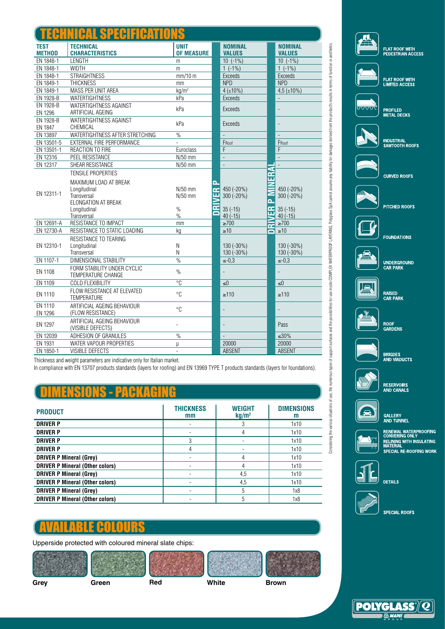| đ                            |                                                      |                                  |              |                                 |                         |                                 |
|------------------------------|------------------------------------------------------|----------------------------------|--------------|---------------------------------|-------------------------|---------------------------------|
| <b>TEST</b><br><b>METHOD</b> | <b>TECHNICAL</b><br><b>CHARACTERISTICS</b>           | <b>UNIT</b><br><b>OF MEASURE</b> |              | <b>NOMINAL</b><br><b>VALUES</b> |                         | <b>NOMINAL</b><br><b>VALUES</b> |
| EN 1848-1                    | <b>LENGTH</b>                                        | m                                |              | $10(-1%)$                       |                         | $10(-1%)$                       |
| EN 1848-1                    | <b>WIDTH</b>                                         | m                                |              | $1(-1\%)$                       |                         | $1(-1\%)$                       |
| EN 1848-1                    | <b>STRAIGHTNESS</b>                                  | mm/10 m                          |              | Exceeds                         |                         | Exceeds                         |
| EN 1849-1                    | <b>THICKNESS</b>                                     | mm                               |              | <b>NPD</b>                      |                         | <b>NPD</b>                      |
| EN 1849-1                    | MASS PER UNIT AREA                                   | $kq/m^2$                         |              | $4(+10%)$                       |                         | $4.5 (\pm 10\%)$                |
| EN 1928-B                    | WATERTIGHTNESS                                       | kPa                              |              | Exceeds                         |                         |                                 |
| EN 1928-B<br>EN 1296         | WATERTIGHTNESS AGAINST<br>ARTIFICIAL AGEING          | kPa                              |              | Exceeds                         |                         | $\overline{a}$                  |
| EN 1928-B<br>EN 1847         | WATERTIGHTNESS AGAINST<br>CHEMICAL                   | kPa                              |              | <b>Exceeds</b>                  |                         | $\overline{a}$                  |
| EN 13897                     | WATERTIGHTNESS AFTER STRETCHING                      | $\%$                             |              |                                 |                         |                                 |
| EN 13501-5                   | EXTERNAL FIRE PERFORMANCE                            | L,                               |              | FRoof                           |                         | FRoof                           |
| EN 13501-1                   | REACTION TO FIRE                                     | Euroclass                        |              | F                               |                         | F                               |
| EN 12316                     | PEEL RESISTANCE                                      | $N/50$ mm                        |              | $\overline{a}$                  |                         | $\overline{a}$                  |
| EN 12317                     | SHEAR RESISTANCE                                     | N/50 mm                          |              | $\overline{a}$                  |                         |                                 |
|                              | TENSILE PROPERTIES<br>MAXIMUM LOAD AT BREAK          | $N/50$ mm                        | $\mathbf{a}$ | 450 (-20%)                      | ERAI                    | 450 (-20%)                      |
| EN 12311-1                   | Longitudinal<br>Transversal<br>ELONGATION AT BREAK   | N/50 mm                          | ≃<br>ш       | 300 (-20%)                      | ĥ.                      | 300 (-20%)                      |
|                              | Longitudinal<br>Transversal                          | $\%$<br>$\frac{0}{0}$            | œ            | $35(-15)$<br>$40(-15)$          | 岛                       | $35(-15)$<br>$40(-15)$          |
| EN 12691-A                   | RESISTANCE TO IMPACT                                 | mm                               |              | $\geq 700$                      | $\mathsf{M}^\mathsf{N}$ | $\geq 700$                      |
| EN 12730-A                   | RESISTANCE TO STATIC LOADING                         | kg                               |              | $\geq 10$                       | ∍                       | $\geq 10$                       |
| EN 12310-1                   | RESISTANCE TO TEARING<br>Longitudinal<br>Transversal | Ν<br>Ν                           |              | 130 (-30%)<br>130 (-30%)        |                         | 130 (-30%)<br>130 (-30%)        |
| EN 1107-1                    | DIMENSIONAL STABILITY                                | $\frac{9}{6}$                    |              | $\le -0.3$                      |                         | $\le -0.3$                      |
| EN 1108                      | FORM STABILITY UNDER CYCLIC<br>TEMPERATURE CHANGE    | $\%$                             |              | $\blacksquare$                  |                         | $\overline{\phantom{0}}$        |
| EN 1109                      | <b>COLD FLEXIBILITY</b>                              | $\overline{C}$                   |              | ≤0                              |                         | $\leq 0$                        |
| EN 1110                      | FLOW RESISTANCE AT ELEVATED<br><b>TEMPERATURE</b>    | °C                               |              | $\geq 110$                      |                         | $\geq 110$                      |
| EN 1110<br><b>EN 1296</b>    | ARTIFICIAL AGEING BEHAVIOUR<br>(FLOW RESISTANCE)     | $^{\circ}C$                      |              | $\overline{a}$                  |                         | $\overline{\phantom{0}}$        |
| <b>EN 1297</b>               | ARTIFICIAL AGEING BEHAVIOUR<br>(VISIBLE DEFECTS)     |                                  |              |                                 |                         | Pass                            |
| EN 12039                     | ADHESION OF GRANULES                                 | $\frac{0}{0}$                    |              | $\overline{a}$                  |                         | $\leq 30\%$                     |
| EN 1931                      | WATER VAPOUR PROPERTIES                              | μ                                |              | 20000                           |                         | 20000                           |
| EN 1850-1                    | VISIBLE DEFECTS                                      | $\overline{\phantom{a}}$         |              | <b>ABSENT</b>                   |                         | <b>ABSENT</b>                   |



Considering the various situations of turbe substitutions and the possibilities for use inside COMPLEX WATERING. Polyglass SpA cannot assume any liability for damages derived from the product's results in terms of function

Considering the various studions of use, the numerous types of support surfaces and the possibilities for use mixide COMPLEX WATERPROOFLAYERING, Polygiass Spa karnot assume any italitiy for damages derived from the product

Thickness and weight parameters are indicative only for Italian market.

In compliance with EN 13707 products standards (layers for roofing) and EN 13969 TYPE T products standards (layers for foundations).

# DIMENSIONS - PACKAGING

| <b>PRODUCT</b>                         | <b>THICKNESS</b><br>mm | <b>WEIGHT</b><br>kg/m <sup>2</sup> | <b>DIMENSIONS</b><br>m |
|----------------------------------------|------------------------|------------------------------------|------------------------|
| <b>DRIVER P</b>                        |                        |                                    | 1x10                   |
| <b>DRIVER P</b>                        |                        |                                    | 1x10                   |
| <b>DRIVER P</b>                        | 3                      |                                    | 1x10                   |
| <b>DRIVER P</b>                        |                        |                                    | 1x10                   |
| <b>DRIVER P Mineral (Grey)</b>         |                        | 4                                  | 1x10                   |
| <b>DRIVER P Mineral (Other colors)</b> |                        |                                    | 1x10                   |
| <b>DRIVER P Mineral (Grey)</b>         |                        | 4,5                                | 1x10                   |
| <b>DRIVER P Mineral (Other colors)</b> |                        | 4,5                                | 1x10                   |
| <b>DRIVER P Mineral (Grey)</b>         |                        | 5                                  | 1x8                    |
| <b>DRIVER P Mineral (Other colors)</b> |                        | 5                                  | 1x8                    |

#### AVAILABLE COLOURS

Upperside protected with coloured mineral slate chips:





GALLERY<br>AND TUNNEL



RENEWAL WATERPROOFING<br>CONVERING ONLY<br>RELINING WITH INSULATING<br>MATERIAL SPECIAL RE-ROOFING WORK



**DETAILS** 



**SPECIAL ROOFS**